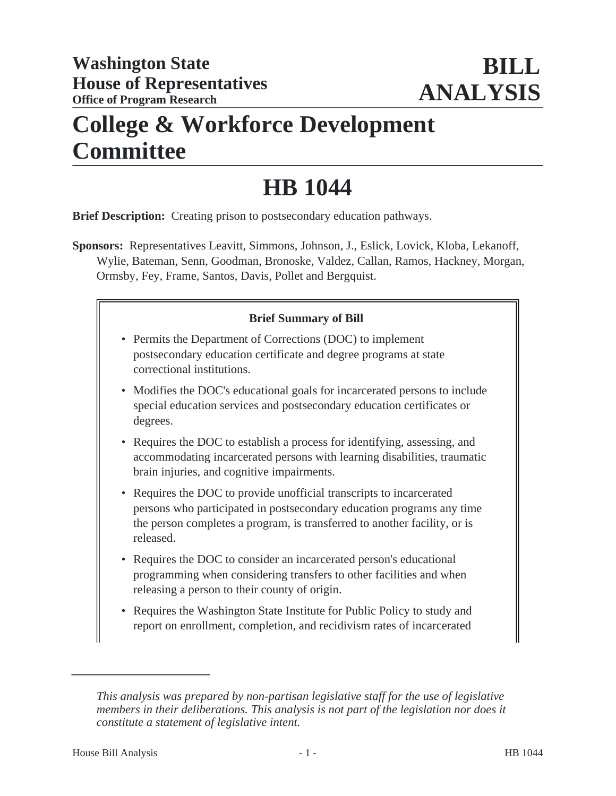# **College & Workforce Development Committee**

# **HB 1044**

**Brief Description:** Creating prison to postsecondary education pathways.

**Sponsors:** Representatives Leavitt, Simmons, Johnson, J., Eslick, Lovick, Kloba, Lekanoff, Wylie, Bateman, Senn, Goodman, Bronoske, Valdez, Callan, Ramos, Hackney, Morgan, Ormsby, Fey, Frame, Santos, Davis, Pollet and Bergquist.

### **Brief Summary of Bill**

- Permits the Department of Corrections (DOC) to implement postsecondary education certificate and degree programs at state correctional institutions.
- Modifies the DOC's educational goals for incarcerated persons to include special education services and postsecondary education certificates or degrees.
- Requires the DOC to establish a process for identifying, assessing, and accommodating incarcerated persons with learning disabilities, traumatic brain injuries, and cognitive impairments.
- Requires the DOC to provide unofficial transcripts to incarcerated persons who participated in postsecondary education programs any time the person completes a program, is transferred to another facility, or is released.
- Requires the DOC to consider an incarcerated person's educational programming when considering transfers to other facilities and when releasing a person to their county of origin.
- Requires the Washington State Institute for Public Policy to study and report on enrollment, completion, and recidivism rates of incarcerated

*This analysis was prepared by non-partisan legislative staff for the use of legislative members in their deliberations. This analysis is not part of the legislation nor does it constitute a statement of legislative intent.*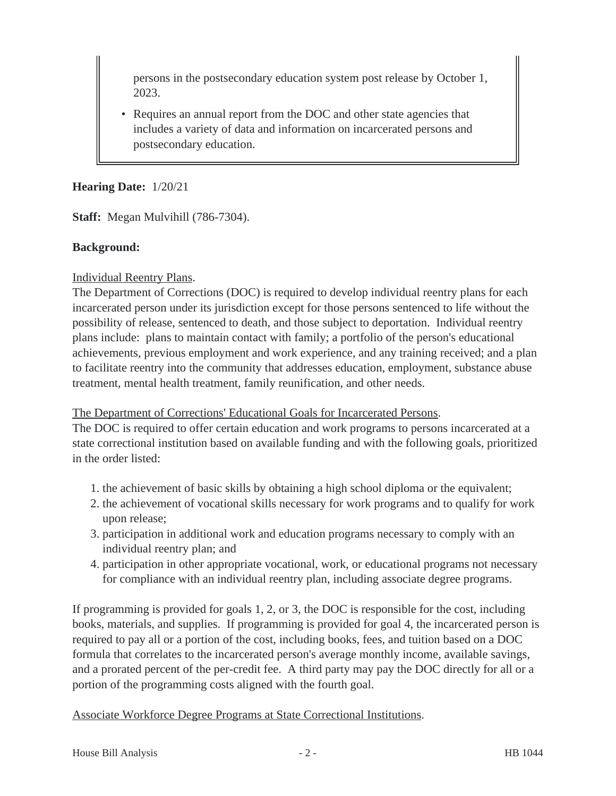persons in the postsecondary education system post release by October 1, 2023.

• Requires an annual report from the DOC and other state agencies that includes a variety of data and information on incarcerated persons and postsecondary education.

#### **Hearing Date:** 1/20/21

**Staff:** Megan Mulvihill (786-7304).

#### **Background:**

#### Individual Reentry Plans.

The Department of Corrections (DOC) is required to develop individual reentry plans for each incarcerated person under its jurisdiction except for those persons sentenced to life without the possibility of release, sentenced to death, and those subject to deportation. Individual reentry plans include: plans to maintain contact with family; a portfolio of the person's educational achievements, previous employment and work experience, and any training received; and a plan to facilitate reentry into the community that addresses education, employment, substance abuse treatment, mental health treatment, family reunification, and other needs.

The Department of Corrections' Educational Goals for Incarcerated Persons.

The DOC is required to offer certain education and work programs to persons incarcerated at a state correctional institution based on available funding and with the following goals, prioritized in the order listed:

- 1. the achievement of basic skills by obtaining a high school diploma or the equivalent;
- 2. the achievement of vocational skills necessary for work programs and to qualify for work upon release;
- 3. participation in additional work and education programs necessary to comply with an individual reentry plan; and
- 4. participation in other appropriate vocational, work, or educational programs not necessary for compliance with an individual reentry plan, including associate degree programs.

If programming is provided for goals 1, 2, or 3, the DOC is responsible for the cost, including books, materials, and supplies. If programming is provided for goal 4, the incarcerated person is required to pay all or a portion of the cost, including books, fees, and tuition based on a DOC formula that correlates to the incarcerated person's average monthly income, available savings, and a prorated percent of the per-credit fee. A third party may pay the DOC directly for all or a portion of the programming costs aligned with the fourth goal.

Associate Workforce Degree Programs at State Correctional Institutions.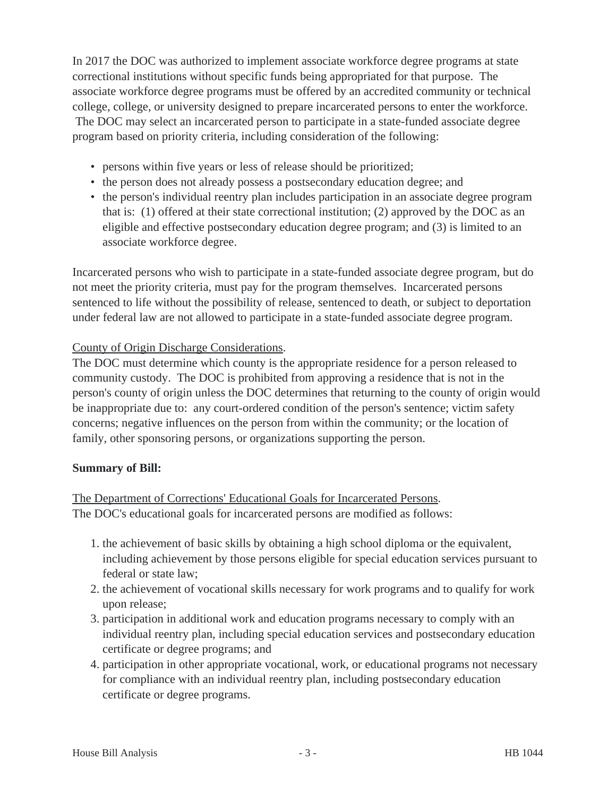In 2017 the DOC was authorized to implement associate workforce degree programs at state correctional institutions without specific funds being appropriated for that purpose. The associate workforce degree programs must be offered by an accredited community or technical college, college, or university designed to prepare incarcerated persons to enter the workforce. The DOC may select an incarcerated person to participate in a state-funded associate degree

program based on priority criteria, including consideration of the following:

- persons within five years or less of release should be prioritized;
- the person does not already possess a postsecondary education degree; and
- the person's individual reentry plan includes participation in an associate degree program that is: (1) offered at their state correctional institution; (2) approved by the DOC as an eligible and effective postsecondary education degree program; and (3) is limited to an associate workforce degree.

Incarcerated persons who wish to participate in a state-funded associate degree program, but do not meet the priority criteria, must pay for the program themselves. Incarcerated persons sentenced to life without the possibility of release, sentenced to death, or subject to deportation under federal law are not allowed to participate in a state-funded associate degree program.

### County of Origin Discharge Considerations.

The DOC must determine which county is the appropriate residence for a person released to community custody. The DOC is prohibited from approving a residence that is not in the person's county of origin unless the DOC determines that returning to the county of origin would be inappropriate due to: any court-ordered condition of the person's sentence; victim safety concerns; negative influences on the person from within the community; or the location of family, other sponsoring persons, or organizations supporting the person.

### **Summary of Bill:**

The Department of Corrections' Educational Goals for Incarcerated Persons. The DOC's educational goals for incarcerated persons are modified as follows:

- 1. the achievement of basic skills by obtaining a high school diploma or the equivalent, including achievement by those persons eligible for special education services pursuant to federal or state law;
- 2. the achievement of vocational skills necessary for work programs and to qualify for work upon release;
- 3. participation in additional work and education programs necessary to comply with an individual reentry plan, including special education services and postsecondary education certificate or degree programs; and
- 4. participation in other appropriate vocational, work, or educational programs not necessary for compliance with an individual reentry plan, including postsecondary education certificate or degree programs.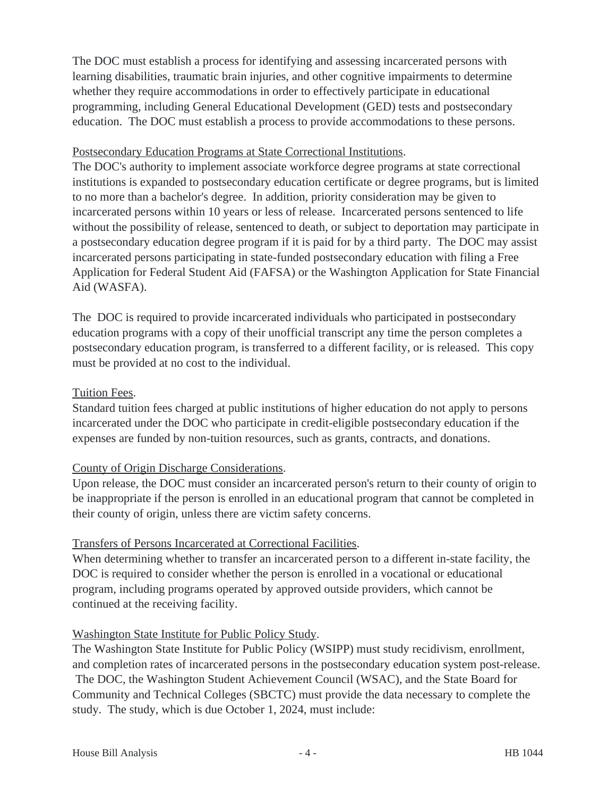The DOC must establish a process for identifying and assessing incarcerated persons with learning disabilities, traumatic brain injuries, and other cognitive impairments to determine whether they require accommodations in order to effectively participate in educational programming, including General Educational Development (GED) tests and postsecondary education. The DOC must establish a process to provide accommodations to these persons.

#### Postsecondary Education Programs at State Correctional Institutions.

The DOC's authority to implement associate workforce degree programs at state correctional institutions is expanded to postsecondary education certificate or degree programs, but is limited to no more than a bachelor's degree. In addition, priority consideration may be given to incarcerated persons within 10 years or less of release. Incarcerated persons sentenced to life without the possibility of release, sentenced to death, or subject to deportation may participate in a postsecondary education degree program if it is paid for by a third party. The DOC may assist incarcerated persons participating in state-funded postsecondary education with filing a Free Application for Federal Student Aid (FAFSA) or the Washington Application for State Financial Aid (WASFA).

The DOC is required to provide incarcerated individuals who participated in postsecondary education programs with a copy of their unofficial transcript any time the person completes a postsecondary education program, is transferred to a different facility, or is released. This copy must be provided at no cost to the individual.

#### Tuition Fees.

Standard tuition fees charged at public institutions of higher education do not apply to persons incarcerated under the DOC who participate in credit-eligible postsecondary education if the expenses are funded by non-tuition resources, such as grants, contracts, and donations.

### County of Origin Discharge Considerations.

Upon release, the DOC must consider an incarcerated person's return to their county of origin to be inappropriate if the person is enrolled in an educational program that cannot be completed in their county of origin, unless there are victim safety concerns.

### Transfers of Persons Incarcerated at Correctional Facilities.

When determining whether to transfer an incarcerated person to a different in-state facility, the DOC is required to consider whether the person is enrolled in a vocational or educational program, including programs operated by approved outside providers, which cannot be continued at the receiving facility.

### Washington State Institute for Public Policy Study.

The Washington State Institute for Public Policy (WSIPP) must study recidivism, enrollment, and completion rates of incarcerated persons in the postsecondary education system post-release. The DOC, the Washington Student Achievement Council (WSAC), and the State Board for Community and Technical Colleges (SBCTC) must provide the data necessary to complete the study. The study, which is due October 1, 2024, must include: